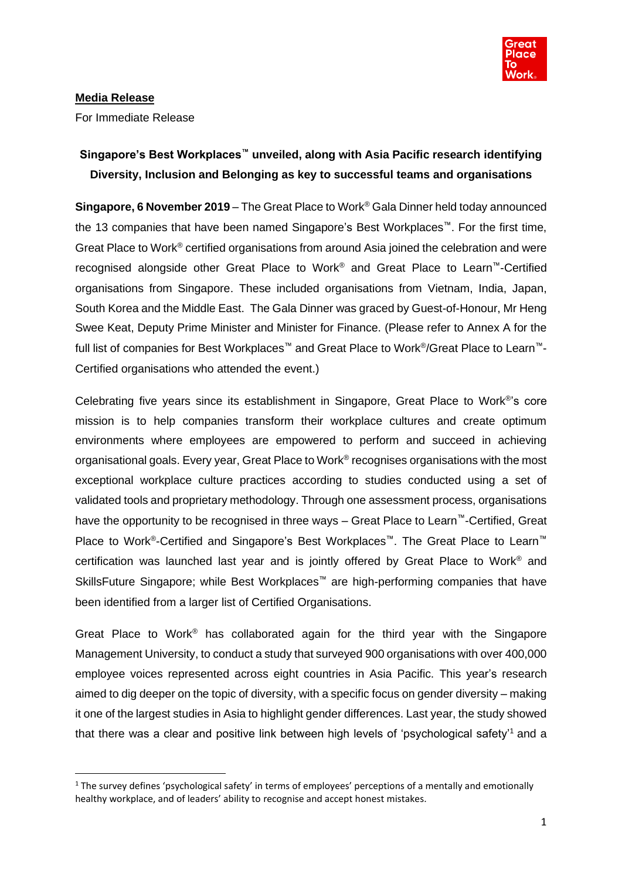

# **Media Release**

For Immediate Release

# **Singapore's Best Workplaces™ unveiled, along with Asia Pacific research identifying Diversity, Inclusion and Belonging as key to successful teams and organisations**

**Singapore, 6 November 2019** – The Great Place to Work® Gala Dinner held today announced the 13 companies that have been named Singapore's Best Workplaces™. For the first time, Great Place to Work® certified organisations from around Asia joined the celebration and were recognised alongside other Great Place to Work® and Great Place to Learn™-Certified organisations from Singapore. These included organisations from Vietnam, India, Japan, South Korea and the Middle East. The Gala Dinner was graced by Guest-of-Honour, Mr Heng Swee Keat, Deputy Prime Minister and Minister for Finance. (Please refer to Annex A for the full list of companies for Best Workplaces™ and Great Place to Work®/Great Place to Learn™-Certified organisations who attended the event.)

Celebrating five years since its establishment in Singapore, Great Place to Work® 's core mission is to help companies transform their workplace cultures and create optimum environments where employees are empowered to perform and succeed in achieving organisational goals. Every year, Great Place to Work® recognises organisations with the most exceptional workplace culture practices according to studies conducted using a set of validated tools and proprietary methodology. Through one assessment process, organisations have the opportunity to be recognised in three ways – Great Place to Learn™-Certified, Great Place to Work®-Certified and Singapore's Best Workplaces<sup>™</sup>. The Great Place to Learn<sup>™</sup> certification was launched last year and is jointly offered by Great Place to Work® and SkillsFuture Singapore; while Best Workplaces<sup>™</sup> are high-performing companies that have been identified from a larger list of Certified Organisations.

Great Place to Work® has collaborated again for the third year with the Singapore Management University, to conduct a study that surveyed 900 organisations with over 400,000 employee voices represented across eight countries in Asia Pacific. This year's research aimed to dig deeper on the topic of diversity, with a specific focus on gender diversity – making it one of the largest studies in Asia to highlight gender differences. Last year, the study showed that there was a clear and positive link between high levels of 'psychological safety'<sup>1</sup> and a

<sup>1</sup> The survey defines 'psychological safety' in terms of employees' perceptions of a mentally and emotionally healthy workplace, and of leaders' ability to recognise and accept honest mistakes.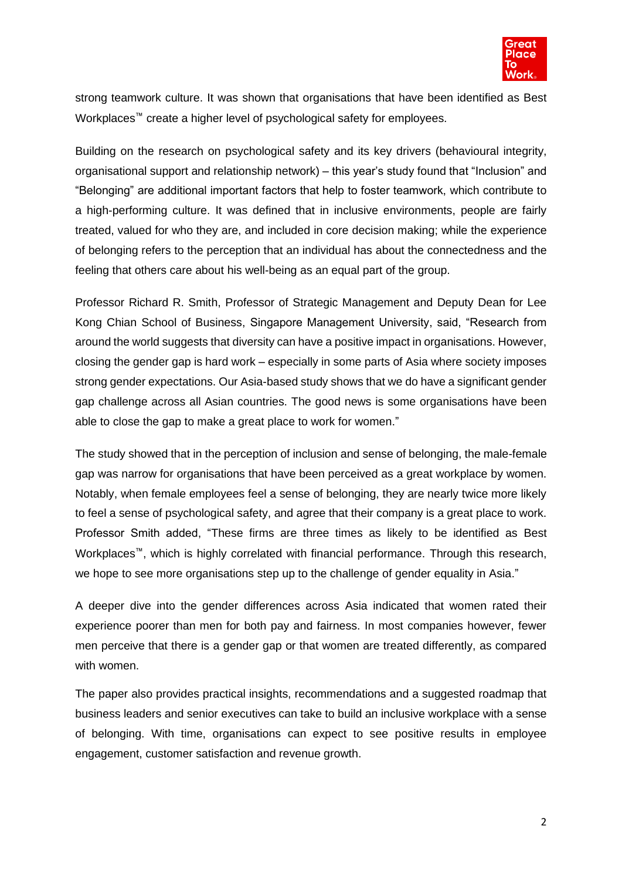

strong teamwork culture. It was shown that organisations that have been identified as Best Workplaces<sup>™</sup> create a higher level of psychological safety for employees.

Building on the research on psychological safety and its key drivers (behavioural integrity, organisational support and relationship network) – this year's study found that "Inclusion" and "Belonging" are additional important factors that help to foster teamwork, which contribute to a high-performing culture. It was defined that in inclusive environments, people are fairly treated, valued for who they are, and included in core decision making; while the experience of belonging refers to the perception that an individual has about the connectedness and the feeling that others care about his well-being as an equal part of the group.

Professor Richard R. Smith, Professor of Strategic Management and Deputy Dean for Lee Kong Chian School of Business, Singapore Management University, said, "Research from around the world suggests that diversity can have a positive impact in organisations. However, closing the gender gap is hard work – especially in some parts of Asia where society imposes strong gender expectations. Our Asia-based study shows that we do have a significant gender gap challenge across all Asian countries. The good news is some organisations have been able to close the gap to make a great place to work for women."

The study showed that in the perception of inclusion and sense of belonging, the male-female gap was narrow for organisations that have been perceived as a great workplace by women. Notably, when female employees feel a sense of belonging, they are nearly twice more likely to feel a sense of psychological safety, and agree that their company is a great place to work. Professor Smith added, "These firms are three times as likely to be identified as Best Workplaces™, which is highly correlated with financial performance. Through this research, we hope to see more organisations step up to the challenge of gender equality in Asia."

A deeper dive into the gender differences across Asia indicated that women rated their experience poorer than men for both pay and fairness. In most companies however, fewer men perceive that there is a gender gap or that women are treated differently, as compared with women.

The paper also provides practical insights, recommendations and a suggested roadmap that business leaders and senior executives can take to build an inclusive workplace with a sense of belonging. With time, organisations can expect to see positive results in employee engagement, customer satisfaction and revenue growth.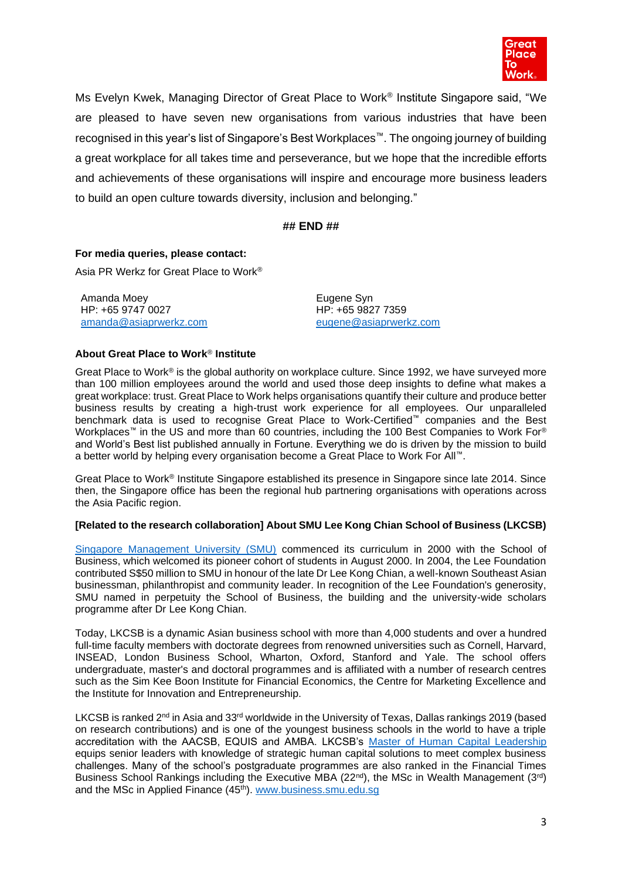

Ms Evelyn Kwek, Managing Director of Great Place to Work® Institute Singapore said, "We are pleased to have seven new organisations from various industries that have been recognised in this year's list of Singapore's Best Workplaces™. The ongoing journey of building a great workplace for all takes time and perseverance, but we hope that the incredible efforts and achievements of these organisations will inspire and encourage more business leaders to build an open culture towards diversity, inclusion and belonging."

## **## END ##**

## **For media queries, please contact:**

Asia PR Werkz for Great Place to Work®

Amanda Moey HP: +65 9747 0027 [amanda@asiaprwerkz.com](mailto:amanda@asiaprwerkz.com) Eugene Syn HP: +65 9827 7359 [eugene@asiaprwerkz.com](mailto:eugene@asiaprwerkz.com)

## **About Great Place to Work**® **Institute**

Great Place to Work<sup>®</sup> is the global authority on workplace culture. Since 1992, we have surveyed more than 100 million employees around the world and used those deep insights to define what makes a great workplace: trust. Great Place to Work helps organisations quantify their culture and produce better business results by creating a high-trust work experience for all employees. Our unparalleled benchmark data is used to recognise Great Place to Work-Certified™ companies and the Best Workplaces™ in the US and more than 60 countries, including the 100 Best Companies to Work For® and World's Best list published annually in Fortune. Everything we do is driven by the mission to build a better world by helping every organisation become a Great Place to Work For All™.

Great Place to Work® Institute Singapore established its presence in Singapore since late 2014. Since then, the Singapore office has been the regional hub partnering organisations with operations across the Asia Pacific region.

## **[Related to the research collaboration] About SMU Lee Kong Chian School of Business (LKCSB)**

[Singapore Management University \(SMU\)](https://www.smu.edu.sg/) commenced its curriculum in 2000 with the School of Business, which welcomed its pioneer cohort of students in August 2000. In 2004, the Lee Foundation contributed S\$50 million to SMU in honour of the late Dr Lee Kong Chian, a well-known Southeast Asian businessman, philanthropist and community leader. In recognition of the Lee Foundation's generosity, SMU named in perpetuity the School of Business, the building and the university-wide scholars programme after Dr Lee Kong Chian.

Today, LKCSB is a dynamic Asian business school with more than 4,000 students and over a hundred full-time faculty members with doctorate degrees from renowned universities such as Cornell, Harvard, INSEAD, London Business School, Wharton, Oxford, Stanford and Yale. The school offers undergraduate, master's and doctoral programmes and is affiliated with a number of research centres such as the Sim Kee Boon Institute for Financial Economics, the Centre for Marketing Excellence and the Institute for Innovation and Entrepreneurship.

LKCSB is ranked 2<sup>nd</sup> in Asia and 33<sup>rd</sup> worldwide in the University of Texas, Dallas rankings 2019 (based on research contributions) and is one of the youngest business schools in the world to have a triple accreditation with the AACSB, EQUIS and AMBA. LKCSB's [Master of Human Capital Leadership](https://www.smu.edu.sg/programmes/postgraduate/master-human-capital-leadership) equips senior leaders with knowledge of strategic human capital solutions to meet complex business challenges. Many of the school's postgraduate programmes are also ranked in the Financial Times Business School Rankings including the Executive MBA (22<sup>nd</sup>), the MSc in Wealth Management (3<sup>rd</sup>) and the MSc in Applied Finance (45<sup>th</sup>). [www.business.smu.edu.sg](http://www.business.smu.edu.sg/)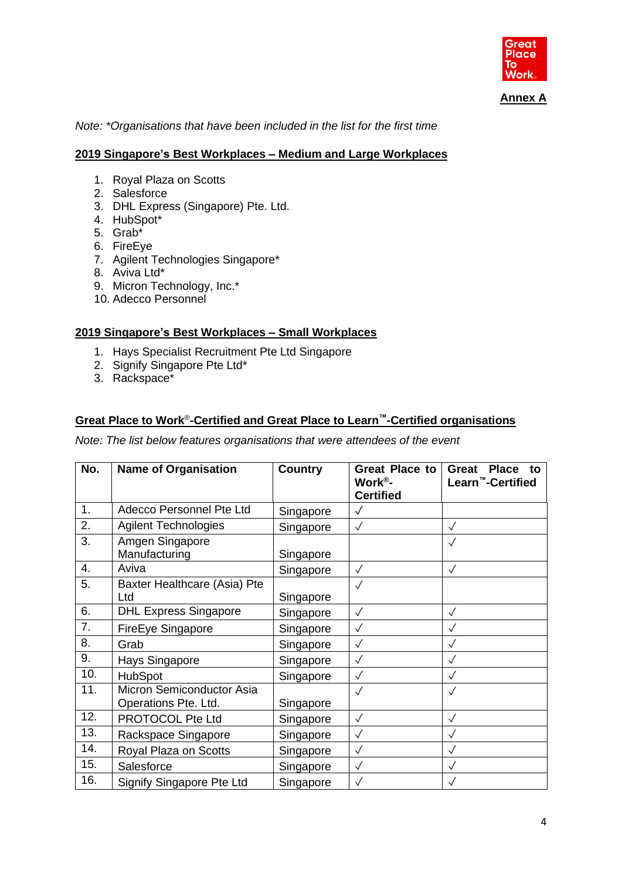

**Annex A**

*Note: \*Organisations that have been included in the list for the first time*

## **2019 Singapore's Best Workplaces – Medium and Large Workplaces**

- 1. Royal Plaza on Scotts
- 2. Salesforce
- 3. DHL Express (Singapore) Pte. Ltd.
- 4. HubSpot\*
- 5. Grab\*
- 6. FireEye
- 7. Agilent Technologies Singapore\*
- 8. Aviva Ltd\*
- 9. Micron Technology, Inc.\*
- 10. Adecco Personnel

## **2019 Singapore's Best Workplaces – Small Workplaces**

- 1. Hays Specialist Recruitment Pte Ltd Singapore
- 2. Signify Singapore Pte Ltd\*
- 3. Rackspace\*

# **Great Place to Work**® **-Certified and Great Place to Learn™-Certified organisations**

*Note: The list below features organisations that were attendees of the event*

| No. | <b>Name of Organisation</b>                       | <b>Country</b> | <b>Great Place to</b><br>Work®-<br><b>Certified</b> | <b>Great</b><br><b>Place</b><br>to<br>Learn <sup>™</sup> -Certified |
|-----|---------------------------------------------------|----------------|-----------------------------------------------------|---------------------------------------------------------------------|
| 1.  | Adecco Personnel Pte Ltd                          | Singapore      | $\sqrt{}$                                           |                                                                     |
| 2.  | <b>Agilent Technologies</b>                       | Singapore      | $\checkmark$                                        | $\checkmark$                                                        |
| 3.  | Amgen Singapore<br>Manufacturing                  | Singapore      |                                                     | $\checkmark$                                                        |
| 4.  | Aviva                                             | Singapore      | $\sqrt{}$                                           | $\sqrt{}$                                                           |
| 5.  | Baxter Healthcare (Asia) Pte<br>Ltd               | Singapore      | $\sqrt{}$                                           |                                                                     |
| 6.  | <b>DHL Express Singapore</b>                      | Singapore      | $\sqrt{}$                                           | $\sqrt{}$                                                           |
| 7.  | FireEye Singapore                                 | Singapore      | $\checkmark$                                        | $\sqrt{}$                                                           |
| 8.  | Grab                                              | Singapore      | $\checkmark$                                        | $\checkmark$                                                        |
| 9.  | Hays Singapore                                    | Singapore      | $\checkmark$                                        | $\checkmark$                                                        |
| 10. | <b>HubSpot</b>                                    | Singapore      | $\checkmark$                                        | $\checkmark$                                                        |
| 11. | Micron Semiconductor Asia<br>Operations Pte. Ltd. | Singapore      | $\sqrt{}$                                           |                                                                     |
| 12. | PROTOCOL Pte Ltd                                  | Singapore      | $\sqrt{}$                                           | $\sqrt{}$                                                           |
| 13. | Rackspace Singapore                               | Singapore      | $\checkmark$                                        | $\sqrt{}$                                                           |
| 14. | Royal Plaza on Scotts                             | Singapore      | $\sqrt{}$                                           | $\checkmark$                                                        |
| 15. | Salesforce                                        | Singapore      | $\checkmark$                                        | $\sqrt{}$                                                           |
| 16. | Signify Singapore Pte Ltd                         | Singapore      | $\checkmark$                                        |                                                                     |